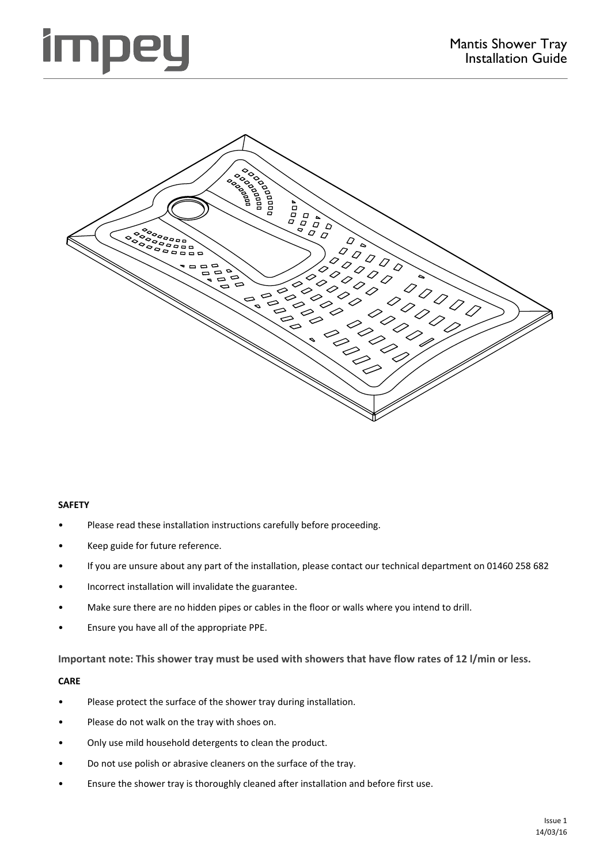# mpe



### **SAFETY**

- Please read these installation instructions carefully before proceeding.
- Keep guide for future reference.
- If you are unsure about any part of the installation, please contact our technical department on 01460 258 682
- Incorrect installation will invalidate the guarantee.
- Make sure there are no hidden pipes or cables in the floor or walls where you intend to drill.
- Ensure you have all of the appropriate PPE.

**Important note: This shower tray must be used with showers that have flow rates of 12 l/min or less.**

### **CARE**

- Please protect the surface of the shower tray during installation.
- Please do not walk on the tray with shoes on.
- Only use mild household detergents to clean the product.
- Do not use polish or abrasive cleaners on the surface of the tray.
- Ensure the shower tray is thoroughly cleaned after installation and before first use.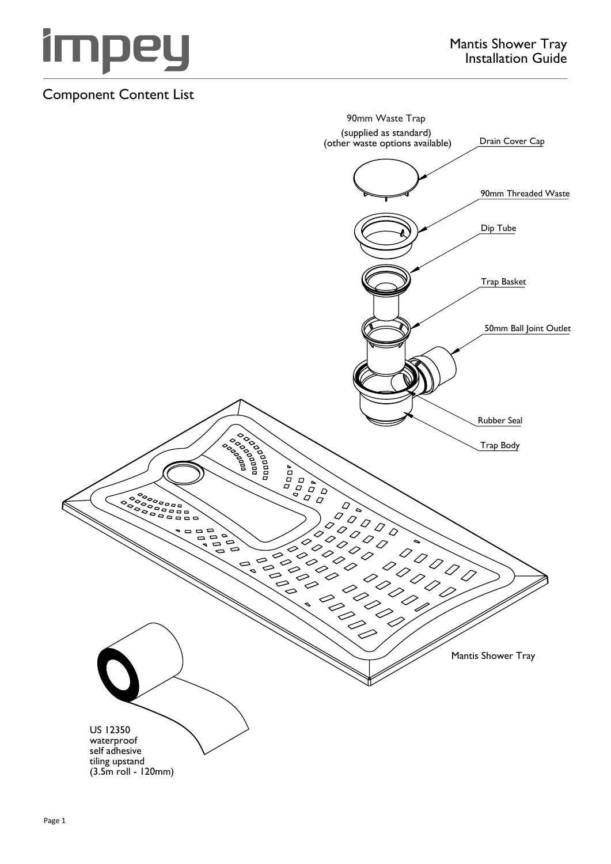

## Component Content List

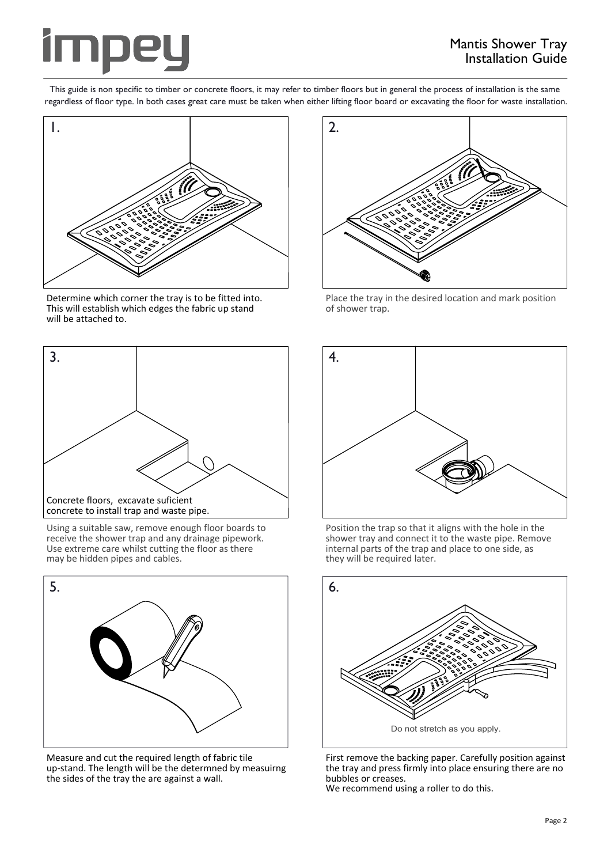

This guide is non specific to timber or concrete floors, it may refer to timber floors but in general the process of installation is the same regardless of floor type. In both cases great care must be taken when either lifting floor board or excavating the floor for waste installation.



Determine which corner the tray is to be fitted into. This will establish which edges the fabric up stand will be attached to.



Using a suitable saw, remove enough floor boards to receive the shower trap and any drainage pipework. Use extreme care whilst cutting the floor as there may be hidden pipes and cables.



Measure and cut the required length of fabric tile up-stand. The length will be the determned by measuirng the sides of the tray the are against a wall.



Place the tray in the desired location and mark position of shower trap.



Position the trap so that it aligns with the hole in the shower tray and connect it to the waste pipe. Remove internal parts of the trap and place to one side, as they will be required later.



First remove the backing paper. Carefully position against the tray and press firmly into place ensuring there are no bubbles or creases. We recommend using a roller to do this.